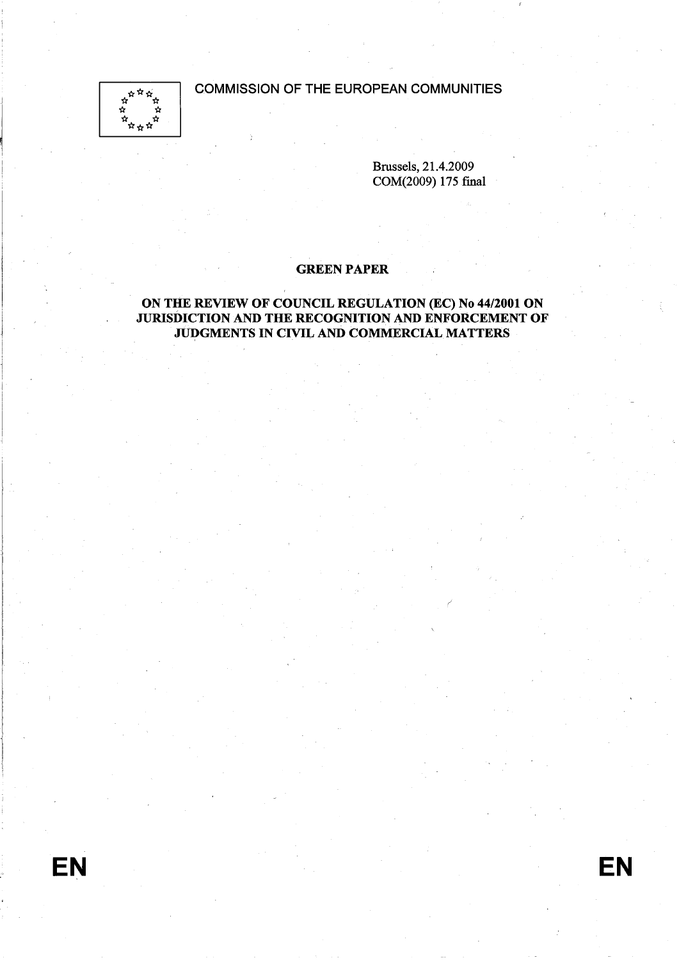COMMISSION OF THE EUROPEAN COMMUNITIES



Brussels, 21.4.2009 COM(2009) 175 final

# GREEN PAPER

# ON THE REVIEW OF COUNCIL REGULATION (EC) No 44/2001 ON JURISDICTION AND THE RECOGNITION AND ENFORCEMENT OF JUDGMENTS IN CIVIL AND COMMERCIAL MATTERS

EN

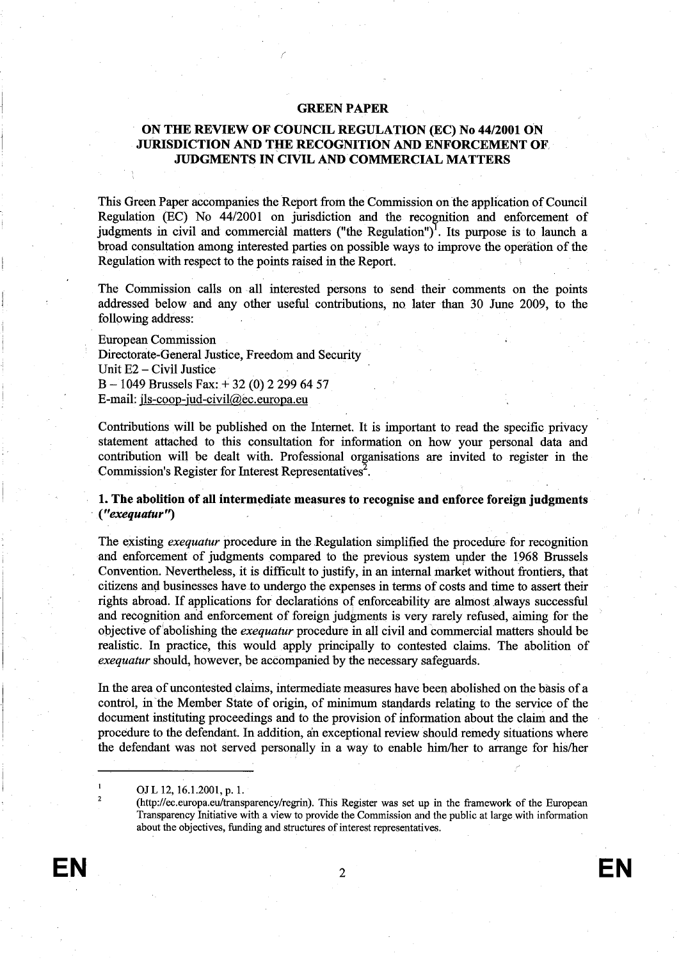## GREEN PAPER

# ON THE REVIEW OF COUNCIL REGULATION (EC) No 44/2001 ON JURISDICTION AND THE RECOGNITION AND ENFORCEMENT OF **JUDGMENTS IN CIVIL AND COMMERCIAL MATTERS**

This Green Paper accompanies the Report from the Commission on the application of Council Regulation (EC) No 44/2001 on jurisdiction and the recognition and enforcement of judgments in civil and commercial matters ("the Regulation")<sup>1</sup>. Its purpose is to launch a broad consultation among interested paries on possible ways to improve the operation of the Regulation with respect to the points raised in the Report.

The Commission calls on all interested persons to send their comments on the points addressed below and any other useful contrbutions, no later than 30 June 2009, to the following address:

European Commission Directorate-General Justice, Freedom and Security Unit E2 - Civil Justice B - l049 Brussels Fax:+ 32 (0) 2 299 64 57 E-mail: jls-coop-jud-civil@ec.europa.eu

Contributions will be published on the Internet. It is important to read the specific privacy statement attached to this consultation for information on how your personal data and contribution will be dealt with. Professional organisations are invited to register in the Commission's Register for Interest Representatives<sup>2</sup>.

1. The abolition of all intermediate measures to recognise and enforce foreign judgments , C' exequatur")

The existing *exequatur* procedure in the Regulation simplified the procedure for recognition and enforcement of judgments compared to the previous system upder the 1968 Brussels Convention. Nevertheless, it is difficult to justify, in an internal market without frontiers, that citizens and businesses have to undergo the expenses in terms of costs and time to assert their rights abroad. If applications for declarations of enforceability are almost always successful and recognition and enforcement of foreign judgments is very rarely refused, aiming for the objective of abolishing the exequatur procedure in all civil and commercial matters should be realistic. In practice, this would apply principally to contested claims. The abolition of exequatur should, however, be accompanied by the necessary safeguards.

In the area of uncontested claims, intermediate measures have been abolished on the bàsis of a control, in the Member State of origin, of minimum standards relating to the service of the document instituting proceedings and to the provision of information about the clain and the procedure to the defendânt. In addition, an exceptional review should remedy situations where the defendant was not served personally in a way to enable him/her to arrange for his/her

OJ L 12, 16.1.2001, p. 1.

2

<sup>(</sup>http://ec.europa.eu/transparency/regrin). This Register was set up in the framework of the European Transparency Intiative with a view to provide the Commission and the public at large with information about the objectives, funding and structures of interest representatives.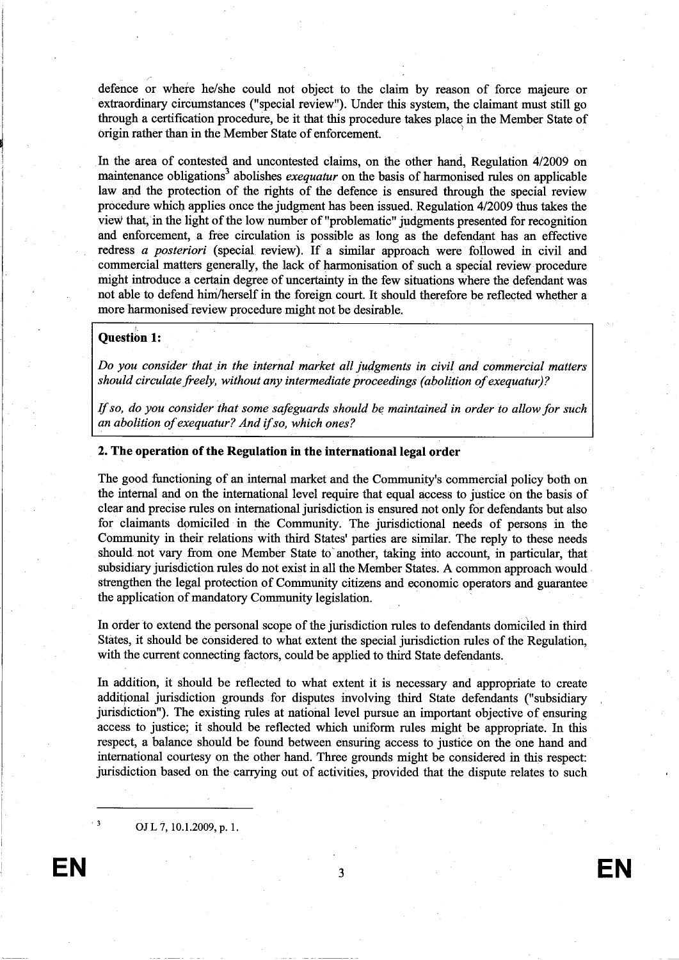defence or where he/she could not object to the claim by reason of force majeure or extraordinary circumstances ("special review"). Under this system, the claimant must stil go through a certification procedure, be it that this procedure takes place in the Member State of origin rather than in the Member State of enforcement. )

In the area of contested and uncontested claims, on the other hand, Regulation 4/2009 on maintenance obligations<sup>3</sup> abolishes *exequatur* on the basis of harmonised rules on applicable law and the protection of the rights of the defence is ensured though the special review procedure which applies once the judgment has been issued. Regulation 4/2009 thus takes the view that, in the light of the low number of "problematic" judgments presented for recogntion and enforcement, a free circulation is possible as long as the defendant has an effective redress a posteriori (special review). If a simlar approach were followed in civil and commercial matters generally, the lack of harmonisation of such a speetal review procedure might introduce a certain degree of uncertainty in the few situations where the defendant was not able to defend him/herself in the foreign court. It should therefore be reflected whether a more harmonised review procedure might not be desirable.

## Question 1:

Do you consider that in the internal market all judgments in civil and commercial matters should circulate freely, without any intermediate proceedings (abolition of exequatur)?

If so, do you consider that some safeguards should be maintained in order to allow for such an abolition of exequatur? And if so, which ones? ",

### 2. The operation of the Regulation in the international legal order

The good functioning of an internal market and the Community's commercial policy both on the internal and on the international level require that equal àccess to justice on the basis of clear and precise rules on international jurisdiction is ensured not only for defendants but also for claimants domiciled in the Community. The jursdictional needs of persons in the Communty in their relations with thid States' parties are similar. The reply to these needs should not vary from one Member State to another, taking into account, in particular, that subsidiary jurisdiction rules do not exist in all the Member States. A common approach would strengthen the legal protection of Communty citizens and economic operators and guarantee the application of mandatory Community legislation.

In order to extend the personal scope of the jursdiction rules to defendants domiciled in thid States, it should be considered to what extent the special jursdiction rules of the Regulation, with the current connecting factors, could be applied to third State defendants.

In addition, it should be reflected to what extent it is necessary and appropriate to create additional jurisdiction grounds for disputes involving third State defendants ("subsidiary jurisdiction"). The existing rules at national level pursue an important objective of ensuring access to justice; it should be reflected which uniform rules might be appropriate. In this respect, a balance should be found between ensuring access to justice on the one hand and international courtesy on the other hand. Three grounds might be considered in this respect: jurisdiction based on the carrying out of activities, provided that the dispute relates to such

OJL 7,10.1.2009, p. 1.

EN 33 EN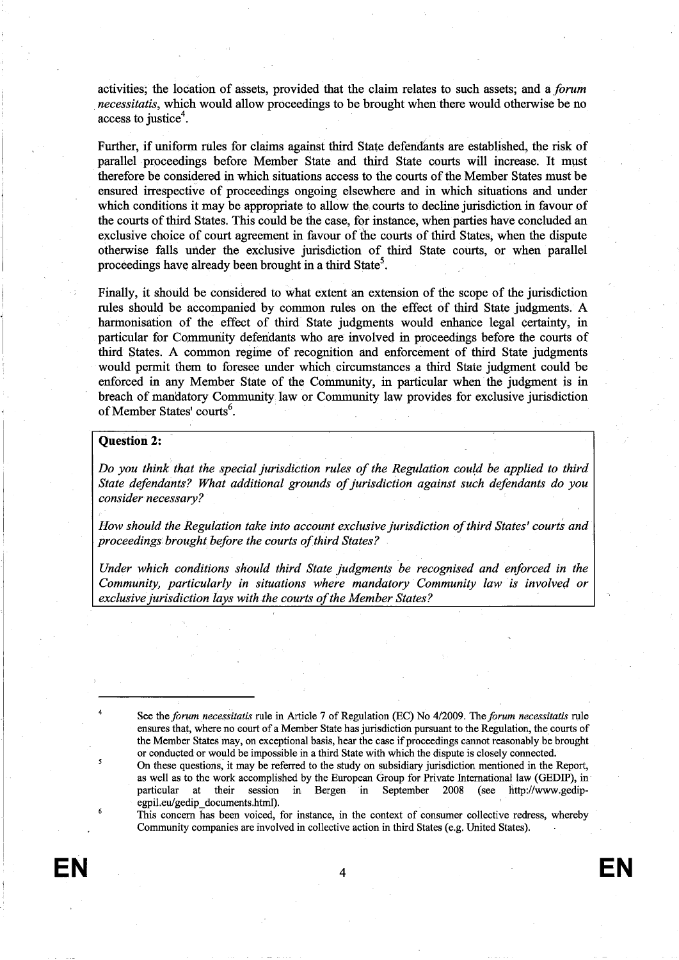activities; the location of assets, provided that the claim relates to such assets; and a forum *necessitatis*, which would allow proceedings to be brought when there would otherwise be no access to justice<sup>4</sup>.

Further, if uniform rules for claims against third State defendants are established, the risk of parallel proceedings before Member State and third State courts will increase. It must therefore be considered in which situations access to the courts of the Member States must be ensured irespective of proceedigs ongoing elsewhere and in which situations and under which conditions it may be appropriate to allow the, cours to decline jursdiction in favour of the cours of thid States. This could be the case, for instance, when paries have concluded an exclusive choice of court agreement in favour of the courts of third States, when the dispute otherwise falls under the exclusive jurisdiction of third State courts, or when parallel proceedings have already been brought in a third State<sup>5</sup>.

Finally, it should be considered to what extent an extension of the scope of the jursdiction rules should be accompanied by common rules on the effect of third State judgments. A harmonisation of the effect of third State judgments would enhance legal certainty, in particular for Communty defendants who are involved in proceedings before the courts of third States. A common regime of recognition and enforcement of third State judgments would permit them to foresee under which circumstances a thid State judgment could be enforced in any Member State of the Community, in particular when the judgment is in breach of mandatory Communty law or Communty law provides for exclusive jursdiction of Member States' courts<sup>6</sup>.

#### Question 2:

Do you think that the special jurisdiction rules of the Regulation could be applied to third State defendants? What additional grounds of jurisdiction against such defendants do you consider necessary?

How should the Regulation take into account exclusive jurisdiction of third States' courts and proceedings brought before the courts of third States?

Under which conditions should third State judgments be recognised and enforced in the Community, particularly in situations where mandatory Community law' is involved or exclusive jurisdiction lays with the courts of the Member States?

See the forum necessitatis rule in Article 7 of Regulation (EC) No 4/2009. The forum necessitatis rule ensures that, where no court of a Member State has jurisdiction pursuant to the Regulation, the courts of the Member States may, on exceptional basis, hear the case if proceedigs canot reasonably be brought or conducted or would be impossible in a thid State with which the dispute is closely connected.

On these questions, it may be refered to the study on subsidiary jursdiction mentioned in the Report, as well as to the work accomplished by the European Group for Private International law (GEDIP), in particular at their session in Bergen in September 2008 (see http://www.gedipegpil.eu/gedip\_documents.html).

This concern has been voiced, for instance, in the context of consumer collective redress, whereby Community companies are involved in collective action in third States (e.g. United States).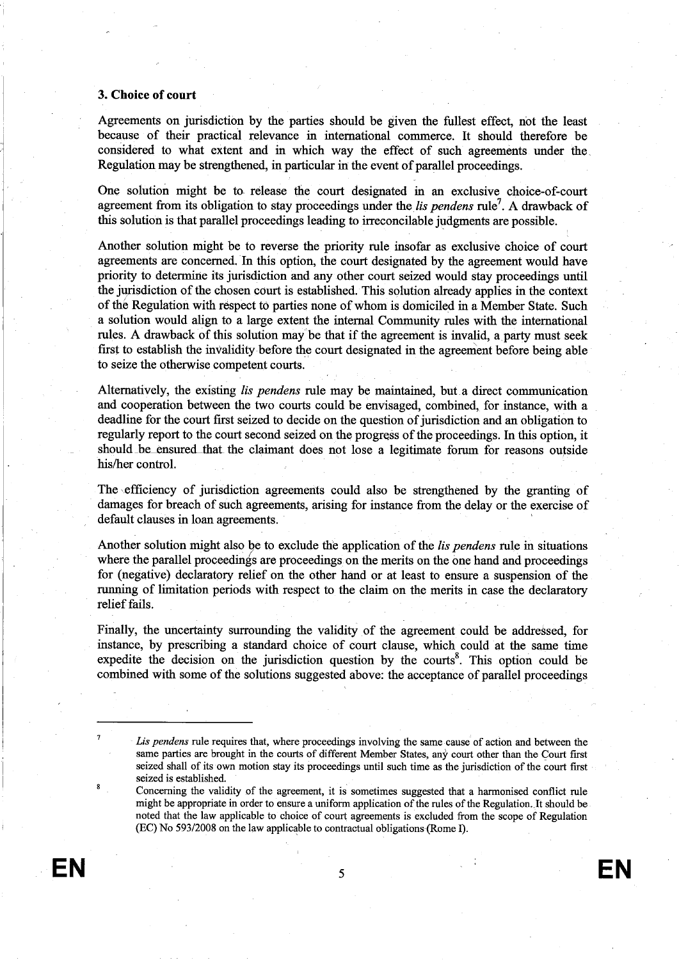## 3. Choice of court

Agreements on jurisdiction by the paries should be given the fullest effect, not the least because of their practical relevance in international commerce. It should therefore be considered to what extent and in which way the effect of such agreements under the. Regulation may be strengthened, in particular in the event of parallel proceedings.

One solution might be to release the court designated in an exclusive choice-of-court agreement from its obligation to stay proceedings under the *lis pendens* rule<sup>7</sup>. A drawback of this solution is that parallel proceedings leading to irreconcilable judgments are possible.

Another solution might be to reverse the priority rule insofar as exclusive choice of court agreements are concerned. In this option, the court designated by the agreement would have priority to determine its jurisdiction and any other court seized would stay proceedings until the jurisdiction of the chosen court is established. This solution already applies in the context of thé Regulation with rêspect tò parties none of whom is domiciled in a Member State. Such a solution would align to a large extent the internal Community rules with the international rules. A drawback of this solution may be that if the agreement is invalid, a party must seek fist to establish the invalidity before the cour designated in the agreement before being able to seize the otherwise competent cours.

Alternatively, the existing *lis pendens* rule may be maintained, but a direct communication and cooperation between the two courts could be envisaged, combined, for instance, with a deadline for the court first seized to decide on the question of jurisdiction and an obligation to regularly report to the court second seized on the progress of the proceedings. In this option, it should \_be ensured that the claimant does not lose a legitimate forum for reasons outside his/her control.

The efficiency of jurisdiction agreements could also be strengthened by the granting of damages for breach of such agreements, arising for instance from the delay or the exercise of default clauses in loan agreements.

Another solution might also be to exclude the application of the *lis pendens* rule in situations where the parallel proceedings are proceedings on the merits on the one hand and proceedings for (negative) declaratory relief on the other hand or at least to ensure a suspension of the running of limitation periods with respect to the claim on the merits in case the declaratory relief fails.

Finally, the uncertainty surounding the validity of the agreement could be addressed, for instance, by prescribing a standard choice of court clause, which could at the same time expedite the decision on the jurisdiction question by the courts<sup>8</sup>. This option could be combined with some of the solutions suggested above: the acceptance of parallel proceedings

Lis pendens rule requires that, where proceedings involving the same cause of action and between the same parties are brought in the courts of different Member States, any court other than the Court first seized shall of its own motion stay its proceedings until such time as the jurisdiction of the court first seized is established.

Concerning the validity of the agreement, it is sometimes suggested that a harmonised conflict rule might be appropriate in order to ensure a uniform application of the rules of the Regulation. It should be noted that the law applicable to choice of court agreements is excluded from the scope of Regulation (EC) No 593/2008 on the law applicable to contractual obligations (Rome 1).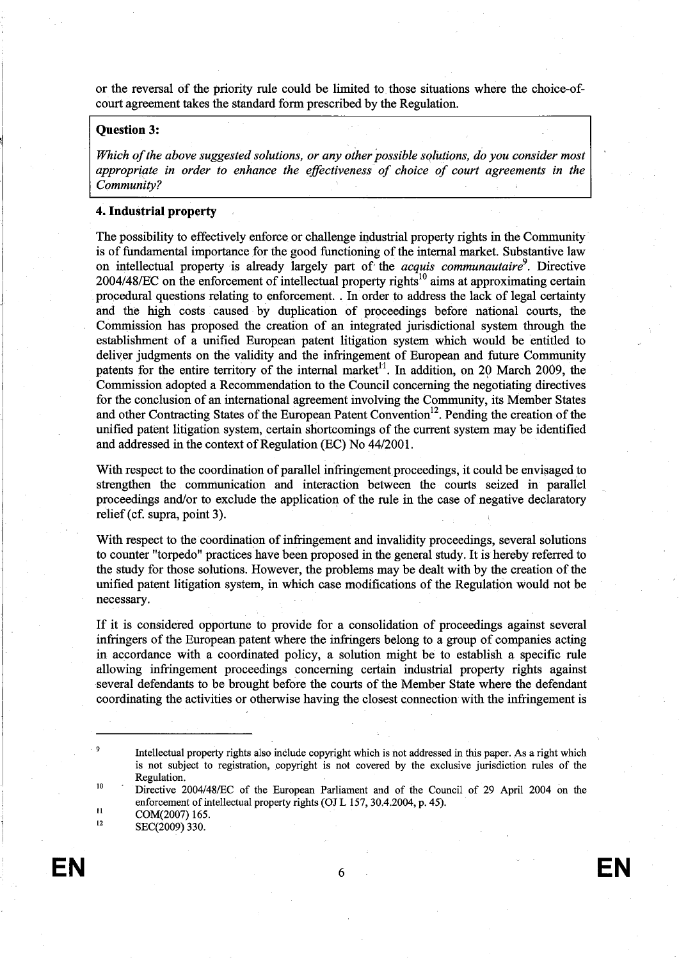or the reversal of the priority rule could be limted to, those situtions where the choice-ofcourt agreement takes the standard form prescribed by the Regulation.

## Question 3:

Which of the above suggested solutions, or any other possible solutions, do you consider most Which of the above suggested solutions, or any other possible solutions, do you consider most appropriate in order to enhance the effectiveness of choice of court agreements in the Community?

## 4. Industrial propert

The possibility to effectively enforce or challenge industrial property rights in the Community is of fundamental importance for the good functioning of the internal market. Substantive law on intellectual property is already largely part of the *acquis communautaire*<sup>9</sup>. Directive  $2004/48/EC$  on the enforcement of intellectual property rights<sup>10</sup> aims at approximating certain procedural questions relating to enforcement. . In order to address the lack of legal certainty and the high costs caused by duplication of proceedings before national courts, the Commssion has proposed the creation of an integrated jursdictional system through the establishment of a unfied European patent litigation system which would be entitled to deliver judgments on the validity and the infringement of European and future Community patents for the entire territory of the internal market<sup>11</sup>. In addition, on 20 March 2009, the Commission adopted a Recommendation to the Council concerning the negotiating directives for the conclusion of an international agreement involving the Communty, its Member States and other Contracting States of the European Patent Convention<sup>12</sup>. Pending the creation of the unified patent litigation system, certain shortcomings of the current system may be identified and addressed in the context of Regulation (EC) No 44/2001.

With respect to the coordination of parallel infringement proceedings, it could be envisaged to strengthen the communication and interaction between the courts seized in parallel proceedings and/or to exclude the application of the rule in the case of negative declaratory relief (cf. supra, point 3).

With respect to the coordination of infringement and invalidity proceedings, several solutions to counter "torpedo" practices have been proposed in the general study. It is hereby referred to the study for those solutions. However, the problems may be dealt with by the creation of the unfied patent litigation system, in which case modifications of the Regulatiòn would not be necessary.

If it is considered opportne to provide for a consolidation of proceedings againt several infringers of the European patent where the infringers belong to a group of companies acting in accordance with a coordinated policy, a solution might be to establish a specific rule allowing infringement proceedings concerning certain industrial property rights against several defendants to be brought before the cours of the Member State where the defendant coordinating the activities or otherwise having the closest connection with the infringement is

SEC(2009) 330. 12

.9

10

II

Intellectual property rights also include copyright which is not addressed in this paper. As a right which is not subject to registration, copyrght is not covered by the exclusive jursdiction rules of the Regulation.

Directive 2004/48ÆC of the European Parliament and of the Council of 29 April 2004 on the enforcement of intellectual property rights (OJ L 157,30.4.2004, p. 45). COM(2007) 165.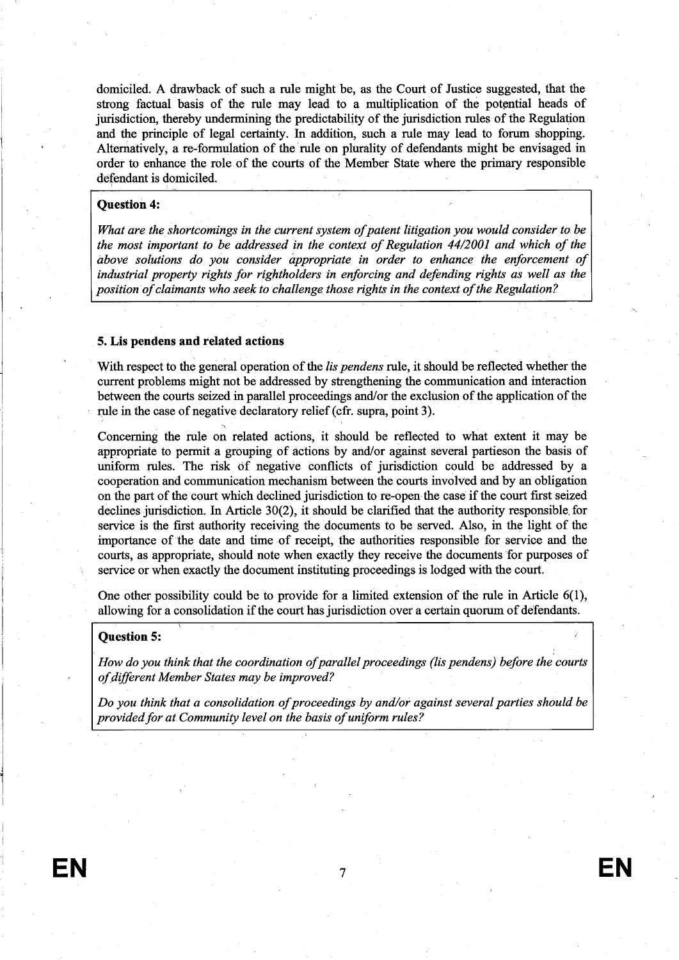domiciled. A drawback of such a rule might be, as the Court of Justice suggested, that the strong factual basis of the rule may lead to a multiplication of the potential heads of jurisdiction, thereby undermining the predictability of the jurisdiction rules of the Regulation and the principle of legal certainty. In addition, such a rule may lead to forum shopping. Alternatively, a re-formulation of the'rule on plurality of defendants might be envisaged in order to enhance the role of the courts of the Member State where the primary responsible defendant is domiciled.

#### Question 4:

What are the shortcomings in the current system of patent litigation you would consìder to. be the most important to be addressed in the context of Regulation 44/2001 and which of the above solutions do you consider áppropriate in order to enhance the enforcement of industrial property rights for rìghtholders in enforcing and defending rights as well as the position of claimants who seek to Challenge those rights in the context of the Regulation?

### 5. Lis pendens and related actions

"

With respect to the general operation of the *lis pendens* rule, it should be reflected whether the current problems might not be addressed by strengthening the communication and interaction between the cours seized in parallel proceedings and/or the exclusion of the application of the rule in the case of negative declaratory relief (cfr. supra, point 3).

Concerning the rule on related actions, it should be reflected to what extent it may be appropriate to permit a grouping of actions by and/or against several partieson the basis of unform rules. The risk, ôf negative conficts of jurisdiction could be addressed by a cooperation and communication mechansm between the courts involved and by an obligation on the part of the court which declined jurisdiction to re-open the case if the court first seized declines jurisdiction. In Aricle 30(2), it should be clarfied that the authority responsible, for service is the fist authority receiving the documents to be served. Also, in the light of the importnce of the date and time of receipt, the authorities responsible for service and the cours, as appropriate, should note when exactly they receive the documents 'for puroses of service or when exactly the document instituting proceedings is lodged with the cour.

One other possibility could be to provide for a limited extension of the rule in Article  $6(1)$ , allowing for a consolidation if the court has jurisdiction over a certain quorum of defendants.

### Question 5:

How do you think that the coordination of parallel proceedings (lis pendens) before the courts of diferent Member States may be improved?

Do you think that a consolidation of proceedings by and/or against several parties should be provided for at Community level on the basis of uniform rules?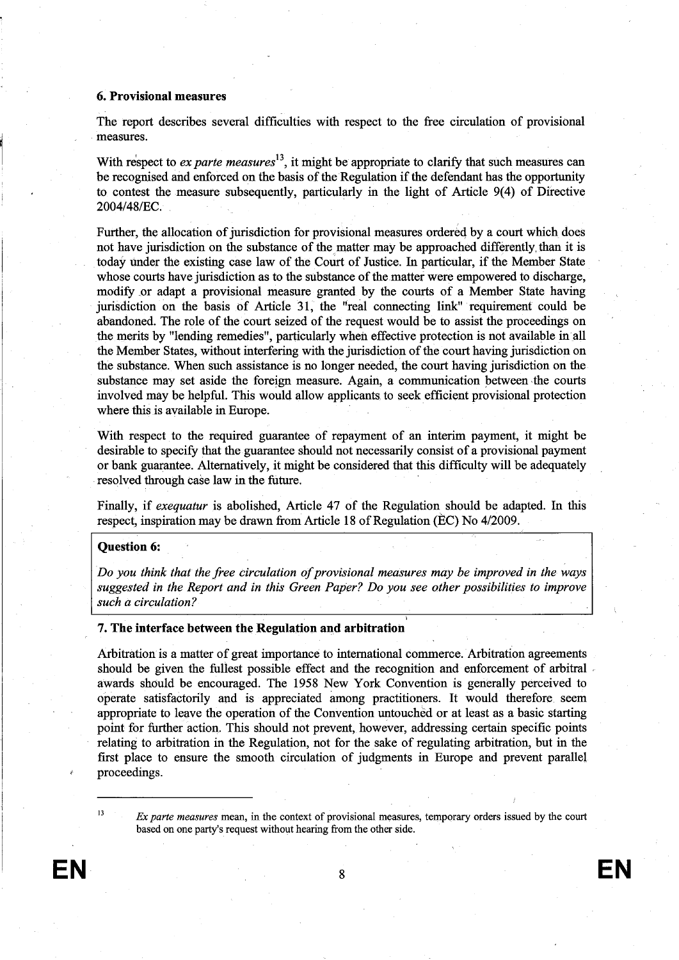#### 6. Provisional measures

The report describes several diffculties with respect to the free circulation of provisional measures.

With respect to ex parte measures<sup>13</sup>, it might be appropriate to clarify that such measures can be recognised and enforced on the basis of the Regulation if the defendant has the opportunity to contest the measure subsequently, particularly in the light of Article 9(4) of Directive 2004/48/Ec.

Furher, the allocation of jurisdiction for provisional measures ordereq by a court which does not have jurisdiction on the substance of the matter may be approached differently than it is today under the existing case law of the Court of Justice. In particular, if the Member State whose courts have jurisdiction as to the substance of the matter were empowered to discharge, modify or adapt a provisional measure granted by the cours of a Member State having jurisdiction on the basis of Article 31, the "real connecting link" requirement could be abandoned. The role of the court seized of the request would be to assist the proceedings on the merits by "lending remedies", paricularly when effective protection is not available in all the Member States, without interfering with the jurisdiction of the court having jurisdiction on the substance. When such assistance is no longer needed, the court having jurisdiction on the substance may set aside the foreign measure. Again, a communication between the courts involved may be helpfuL. This would allow applicants. to seek efficient provisional protection where this is available in Europe.

With respect to the required guarantee of repayment of an interim payment, it might be desirable to specify that the guarantee should not necessarily consist of a provisional payment or bank guarantee. Alternatively, it might be considered that this difficulty will be adequately resolved through case law in the future.

Finally, if exequatur is abolished, Article 47 of the Regulation should be adapted. In this respect, inspiration may be drawn from Aricle 18 of Regulation (Èc) No 4/2009.

#### Question 6:

Do you think that the free circulation of provisional measures may be improved in the ways suggested in the Report and in this Green Paper? Do you see other possibilities to improve such a circulation?

#### 7. The interface between the Regulation and arbitration

Arbitration is a matter of great importance to international commerce. Arbitration agreements should be given the fullest possible effect and the recognition and enforcement of arbitral awards shóuld be encouraged. The 1958 New York Convention is generally perceived to operate satisfactorily and is appreciated among practitioners. It would therefore. seem appropriate to leave the operation of the Convention untouched or at least as a basic starting point for further action. This should not prevent, however, addressing certain specific points relating to arbitration in the Regulation, not for the sake of regulating arbitration, but in the first place to ensure the smooth circulation of judgments in Europe and prevent parallel proceedings.

 $Ex$  parte measures mean, in the context of provisional measures, temporary orders issued by the court based on one party's request without hearing from the other side.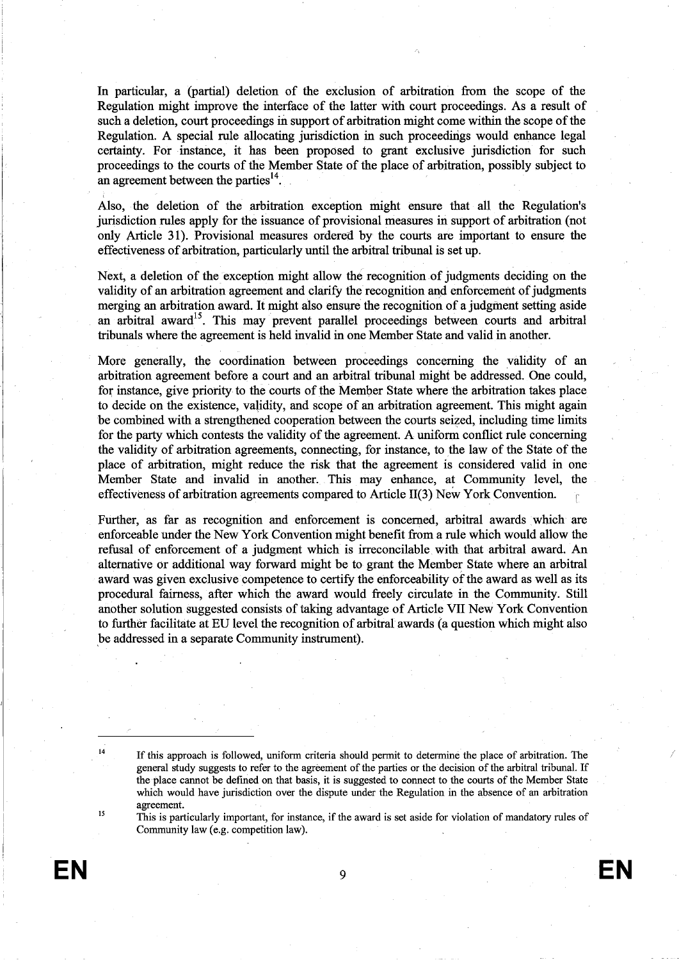In particular, a (parial) deletion of the exclusion of arbitration from the scope of the Regulation might improve the interface of the latter with court proceedings. As a result of such a deletion, court proceedings in support of arbitration might come within the scope of the Regulation. A special rule allocating jurisdiction in such proceedings would enhance legal certinty. For instance, it has been proposed to grant exclusive jurisdiction for such proceedigs to the cours of the Member State of the place of arbitration, possibly subject to an agreement between the parties $^{14}$ .

Also, the deletion of the arbitration exception might ensure that all the Regulation's jurisdiction rules apply for the issuance of provisional measures in support of arbitration (not only Aricle 31). Provisional measures ordered by the courts are importnt to ensure the effectiveness of arbitration, particularly until the arbitral trbunal is set up.

Next, a deletion of the exception might allow the recognition of judgments deciding on the validity of an arbitration agreement and clarfy the recognition and enforcement of judgments merging an arbitration award. It might also ensure the recognition of a judgment setting aside an arbitral award<sup>15</sup>. This may prevent parallel proceedings between courts and arbitral trbunals where the agreement is held invalid in one Member State and valid in another.

More generally, the coordination between proceedings concerning the validity of an arbitration agreement before a court and an arbitral tribunal might be addressed. One could, for instance, give priority to the courts of the Member State where the arbitration takes place to decide on the existence, validity, and scope of an arbitration agreement. This might again be combined with a strengthened cooperation between the courts seized, including time limits for the party which contests the validity of the agreement. A uniform conflict rule concerning the validity of arbitration agreements, connecting, for instance, to the law of the State of the place of arbitration, might reduce the risk that the agreement is considered valid in one Member State and invalid in another. This may enhance, at Communty level, the effectiveness of arbitration agreements compared to Article II(3) New York Convention.

Furher, as far as recogntion and enforcement is concerned, arbitral awards which are enforceable under the New York Convention might benefit from a rule which would allow the refusal of enforcement of a judgment which is ireconcilable, with that arbitral award. An alternative or additional way forward might be to grant the Member State where an arbitral award was given exclusive competence to certify the enforceability of the award as well as its procedural fairess, after which the award would freely circulate in the Community. Stil another solution suggested consists of takig advantage of Aricle VII New York Convention to furtêr faciltate atEU level the recogntion of arbitral awards (a question which might also be addressed in a separate Community instrument).

15

This is paricularly important, for instance, if the award is set aside for violation of mandatory rules of Community law (e.g. competition law).

<sup>&</sup>lt;sup>14</sup> If this approach is followed, uniform criteria should permit to determine the place of arbitration. The general study suggests to refer to the agreement of the paries or the decision of the arbitral tribunaL. If the place cannot be defined on that basis, it is suggested to connect to the cours of the Member State which would have jursdiction over the dispute under the Regulation in the absence of an arbitration agreement.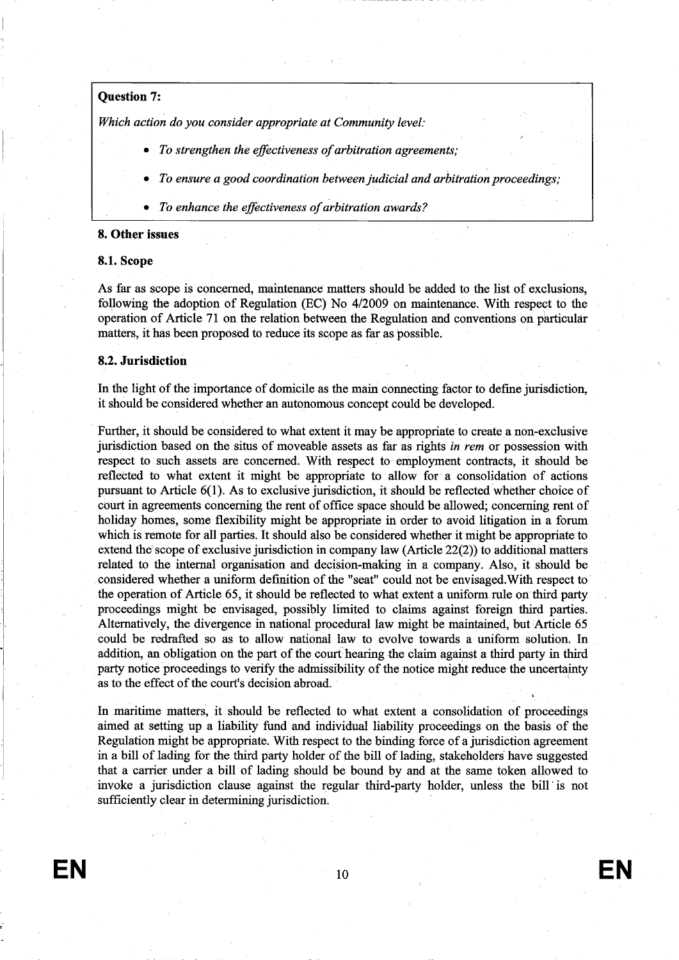# Question 7:

Which action do you consider appropriate at Community level:

- To strengthen the effectiveness of arbitration agreements;
- . To ensure a good coordination between judicial and arbitration proceedings;
- . To enhance the effectiveness of arbitration awards?

#### 8. Other issues

## 8.1. Scope

As far as scope is concerned, maintenance matters should be added to the list of exclusions, following the adoption of Regulation (EC) No 4/2009 on maintenance. With respect to the operation of Article 71 on the relation between the Regulation and conventions on particular matters, it hàs been proposed to reduce its scope as far as possible.

#### 8.2. Jurisdiction

In the light of the importance of domicile as the main connecting factor to define jurisdiction, it should be considered whether an autonomous concept could be developed.

Further, it should be considered to what extent it may be appropriate to create a non-exchisive jurisdiction based on the situs of moveable assets as far as rights in rem or possession with respect to such assets are concerned. With respect to employment contracts, it should be reflected to what extent it might be appropriate to allow for a consolidation of actions pursuant to Aricle 6(1). As to exclusive jursdiction, it should be reflected whether. choìce of court in agreements concerning the rent of office space should be allowed; concerning rent of holiday homes, some flexibility might be appropriate in order to avoid litigation in a forum which is remote for all partes. It should also be considered whether it might be appropriate to extend the scope of exclusive jurisdiction in company law (Aricle 22(2)) to additional matters related to the internal organsation and decision-making in a company. Also, it should be considered whether a uniform definition of the "seat" could not be envisaged. With respect to the operation of Article 65, it should be reflected to what extent a uniform rule on third party proceedings might be envisaged, possibly limited to claims against foreign third parties. Alternatively, the divergence in national procedural law might be maintained, but Article 65 could be redrafted so as to allow national law to evolve towards a unform solution. In addition, an obligation on the part of the court hearing the claim against a third party in third party notice proceedings to verify the admissibility of the notice might reduce the uncertainty as to the effect of the court's decision abroad.

In maritime matters, it should be reflected to what extent a consolidation of proceedings aimed at setting up a liability fund and individual liability proceedings on the basis of the Regulation might be appropriate. With respect to the binding force of a jurisdiction agreement in a bill of lading for the third party holder of the bill of lading, stakeholders have suggested that a carrier under a bill of lading should be bound by and at the same token allowed to invoke a jurisdiction clause against the regular third-party holder, unless the bill is not sufficiently clear in determining jurisdiction.